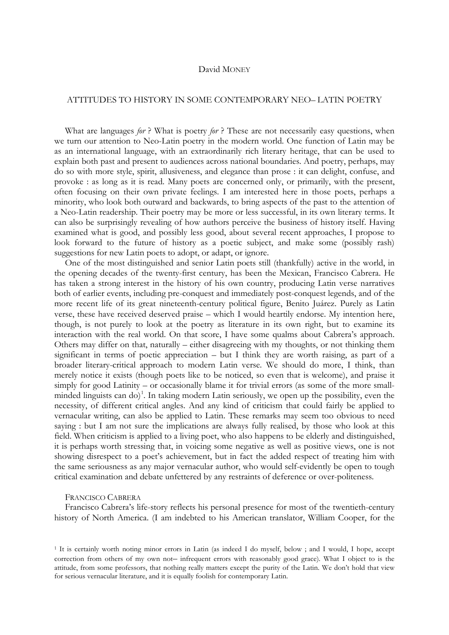### David MONEY

# ATTITUDES TO HISTORY IN SOME CONTEMPORARY NEO– LATIN POETRY

What are languages *for* ? What is poetry *for* ? These are not necessarily easy questions, when we turn our attention to Neo-Latin poetry in the modern world. One function of Latin may be as an international language, with an extraordinarily rich literary heritage, that can be used to explain both past and present to audiences across national boundaries. And poetry, perhaps, may do so with more style, spirit, allusiveness, and elegance than prose : it can delight, confuse, and provoke : as long as it is read. Many poets are concerned only, or primarily, with the present, often focusing on their own private feelings. I am interested here in those poets, perhaps a minority, who look both outward and backwards, to bring aspects of the past to the attention of a Neo-Latin readership. Their poetry may be more or less successful, in its own literary terms. It can also be surprisingly revealing of how authors perceive the business of history itself. Having examined what is good, and possibly less good, about several recent approaches, I propose to look forward to the future of history as a poetic subject, and make some (possibly rash) suggestions for new Latin poets to adopt, or adapt, or ignore.

One of the most distinguished and senior Latin poets still (thankfully) active in the world, in the opening decades of the twenty-first century, has been the Mexican, Francisco Cabrera. He has taken a strong interest in the history of his own country, producing Latin verse narratives both of earlier events, including pre-conquest and immediately post-conquest legends, and of the more recent life of its great nineteenth-century political figure, Benito Juárez. Purely as Latin verse, these have received deserved praise – which I would heartily endorse. My intention here, though, is not purely to look at the poetry as literature in its own right, but to examine its interaction with the real world. On that score, I have some qualms about Cabrera's approach. Others may differ on that, naturally – either disagreeing with my thoughts, or not thinking them significant in terms of poetic appreciation – but I think they are worth raising, as part of a broader literary-critical approach to modern Latin verse. We should do more, I think, than merely notice it exists (though poets like to be noticed, so even that is welcome), and praise it simply for good Latinity – or occasionally blame it for trivial errors (as some of the more small-minded linguists can do)<sup>[1](#page-0-0)</sup>. In taking modern Latin seriously, we open up the possibility, even the necessity, of different critical angles. And any kind of criticism that could fairly be applied to vernacular writing, can also be applied to Latin. These remarks may seem too obvious to need saying : but I am not sure the implications are always fully realised, by those who look at this field. When criticism is applied to a living poet, who also happens to be elderly and distinguished, it is perhaps worth stressing that, in voicing some negative as well as positive views, one is not showing disrespect to a poet's achievement, but in fact the added respect of treating him with the same seriousness as any major vernacular author, who would self-evidently be open to tough critical examination and debate unfettered by any restraints of deference or over-politeness.

#### FRANCISCO CABRERA

Francisco Cabrera's life-story reflects his personal presence for most of the twentieth-century history of North America. (I am indebted to his American translator, William Cooper, for the

<span id="page-0-0"></span><sup>1</sup> It is certainly worth noting minor errors in Latin (as indeed I do myself, below ; and I would, I hope, accept correction from others of my own not– infrequent errors with reasonably good grace). What I object to is the attitude, from some professors, that nothing really matters except the purity of the Latin. We don't hold that view for serious vernacular literature, and it is equally foolish for contemporary Latin.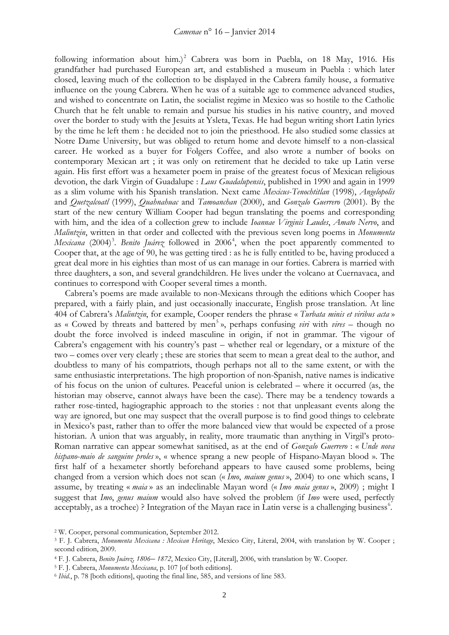following information about him.)<sup>[2](#page-1-0)</sup> Cabrera was born in Puebla, on 18 May, 1916. His grandfather had purchased European art, and established a museum in Puebla : which later closed, leaving much of the collection to be displayed in the Cabrera family house, a formative influence on the young Cabrera. When he was of a suitable age to commence advanced studies, and wished to concentrate on Latin, the socialist regime in Mexico was so hostile to the Catholic Church that he felt unable to remain and pursue his studies in his native country, and moved over the border to study with the Jesuits at Ysleta, Texas. He had begun writing short Latin lyrics by the time he left them : he decided not to join the priesthood. He also studied some classics at Notre Dame University, but was obliged to return home and devote himself to a non-classical career. He worked as a buyer for Folgers Coffee, and also wrote a number of books on contemporary Mexican art ; it was only on retirement that he decided to take up Latin verse again. His first effort was a hexameter poem in praise of the greatest focus of Mexican religious devotion, the dark Virgin of Guadalupe : *Laus Guadalupensis*, published in 1990 and again in 1999 as a slim volume with his Spanish translation. Next came *Mexicus*-*Tenochtitlan* (1998), *Angelopolis* and *Quetzalcoatl* (1999), *Quahnahuac* and *Tamoanchan* (2000), and *Gonzalo Guerrero* (2001). By the start of the new century William Cooper had begun translating the poems and corresponding with him, and the idea of a collection grew to include *Ioannae Virginis Laudes*, *Amato Nervo*, and *Malintzin*, written in that order and collected with the previous seven long poems in *Monumenta* Mexicana (2004)<sup>[3](#page-1-1)</sup>. Benito Juárez followed in 2006<sup>[4](#page-1-2)</sup>, when the poet apparently commented to Cooper that, at the age of 90, he was getting tired : as he is fully entitled to be, having produced a great deal more in his eighties than most of us can manage in our forties. Cabrera is married with three daughters, a son, and several grandchildren. He lives under the volcano at Cuernavaca, and continues to correspond with Cooper several times a month.

Cabrera's poems are made available to non-Mexicans through the editions which Cooper has prepared, with a fairly plain, and just occasionally inaccurate, English prose translation. At line 404 of Cabrera's *Malintzin*, for example, Cooper renders the phrase « *Turbata minis et viribus acta* » as « Cowed by threats and battered by men<sup>[5](#page-1-3)</sup>», perhaps confusing *viri* with *vires* – though no doubt the force involved is indeed masculine in origin, if not in grammar. The vigour of Cabrera's engagement with his country's past – whether real or legendary, or a mixture of the two – comes over very clearly ; these are stories that seem to mean a great deal to the author, and doubtless to many of his compatriots, though perhaps not all to the same extent, or with the same enthusiastic interpretations. The high proportion of non-Spanish, native names is indicative of his focus on the union of cultures. Peaceful union is celebrated – where it occurred (as, the historian may observe, cannot always have been the case). There may be a tendency towards a rather rose-tinted, hagiographic approach to the stories : not that unpleasant events along the way are ignored, but one may suspect that the overall purpose is to find good things to celebrate in Mexico's past, rather than to offer the more balanced view that would be expected of a prose historian. A union that was arguably, in reality, more traumatic than anything in Virgil's proto-Roman narrative can appear somewhat sanitised, as at the end of *Gonzalo Guerrero* : « *Unde nova hispano*-*maio de sanguine proles* », « whence sprang a new people of Hispano-Mayan blood ». The first half of a hexameter shortly beforehand appears to have caused some problems, being changed from a version which does not scan (« *Imo*, *maium genus* », 2004) to one which scans, I assume, by treating « *maia* » as an indeclinable Mayan word (« *Imo maia genus* », 2009) ; might I suggest that *Imo*, *genus maium* would also have solved the problem (if *Imo* were used, perfectly acceptably, as a trochee) ? Integration of the Mayan race in Latin verse is a challenging business<sup>6</sup>.

<span id="page-1-0"></span><sup>2</sup> W. Cooper, personal communication, September 2012.

<sup>5</sup> F. J. Cabrera, *Monumenta Mexicana*, p. 107 [of both editions].

<span id="page-1-1"></span><sup>3</sup> F. J. Cabrera, *Monumenta Mexicana : Mexican Heritage*, Mexico City, Literal, 2004, with translation by W. Cooper ; second edition, 2009.

<span id="page-1-2"></span><sup>4</sup> F. J. Cabrera, *Benito Juárez, 1806*– *1872*, Mexico City, [Literal], 2006, with translation by W. Cooper.

<span id="page-1-4"></span><span id="page-1-3"></span><sup>6</sup> *Ibid.*, p. 78 [both editions], quoting the final line, 585, and versions of line 583.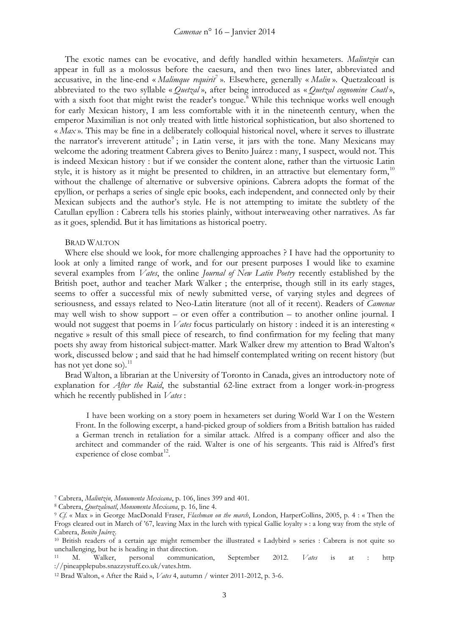The exotic names can be evocative, and deftly handled within hexameters. *Malintzin* can appear in full as a molossus before the caesura, and then two lines later, abbreviated and accusative, in the line-end « *Malimque requirit*[7](#page-2-0) ». Elsewhere, generally « *Malin* ». Quetzalcoatl is abbreviated to the two syllable « *Quetzal* », after being introduced as « *Quetzal cognomine Coatl* », with a sixth foot that might twist the reader's tongue.<sup>[8](#page-2-1)</sup> While this technique works well enough for early Mexican history, I am less comfortable with it in the nineteenth century, when the emperor Maximilian is not only treated with little historical sophistication, but also shortened to « *Max* ». This may be fine in a deliberately colloquial historical novel, where it serves to illustrate the narrator's irreverent attitude<sup>[9](#page-2-2)</sup>; in Latin verse, it jars with the tone. Many Mexicans may welcome the adoring treatment Cabrera gives to Benito Juárez : many, I suspect, would not. This is indeed Mexican history : but if we consider the content alone, rather than the virtuosic Latin style, it is history as it might be presented to children, in an attractive but elementary form,  $10$ without the challenge of alternative or subversive opinions. Cabrera adopts the format of the epyllion, or perhaps a series of single epic books, each independent, and connected only by their Mexican subjects and the author's style. He is not attempting to imitate the subtlety of the Catullan epyllion : Cabrera tells his stories plainly, without interweaving other narratives. As far as it goes, splendid. But it has limitations as historical poetry.

#### BRAD WALTON

Where else should we look, for more challenging approaches ? I have had the opportunity to look at only a limited range of work, and for our present purposes I would like to examine several examples from *Vates*, the online *Journal of New Latin Poetry* recently established by the British poet, author and teacher Mark Walker ; the enterprise, though still in its early stages, seems to offer a successful mix of newly submitted verse, of varying styles and degrees of seriousness, and essays related to Neo-Latin literature (not all of it recent). Readers of *Camenae* may well wish to show support – or even offer a contribution – to another online journal. I would not suggest that poems in *Vates* focus particularly on history : indeed it is an interesting « negative » result of this small piece of research, to find confirmation for my feeling that many poets shy away from historical subject-matter. Mark Walker drew my attention to Brad Walton's work, discussed below ; and said that he had himself contemplated writing on recent history (but has not yet done so). $^{11}$  $^{11}$  $^{11}$ 

Brad Walton, a librarian at the University of Toronto in Canada, gives an introductory note of explanation for *After the Raid*, the substantial 62-line extract from a longer work-in-progress which he recently published in *Vates* :

I have been working on a story poem in hexameters set during World War I on the Western Front. In the following excerpt, a hand-picked group of soldiers from a British battalion has raided a German trench in retaliation for a similar attack. Alfred is a company officer and also the architect and commander of the raid. Walter is one of his sergeants. This raid is Alfred's first experience of close combat<sup>[12](#page-2-5)</sup>.

<span id="page-2-0"></span><sup>7</sup> Cabrera, *Malintzin*, *Monumenta Mexicana*, p. 106, lines 399 and 401.

<span id="page-2-1"></span><sup>8</sup> Cabrera, *Quetzalcoatl*, *Monumenta Mexicana*, p. 16, line 4.

<span id="page-2-2"></span><sup>9</sup> *Cf.* « Max » in George MacDonald Fraser, *Flashman on the march*, London, HarperCollins, 2005, p. 4 : « Then the Frogs cleared out in March of '67, leaving Max in the lurch with typical Gallic loyalty » : a long way from the style of Cabrera, *Benito Juárez*.

<span id="page-2-3"></span><sup>10</sup> British readers of a certain age might remember the illustrated « Ladybird » series : Cabrera is not quite so unchallenging, but he is heading in that direction.

<span id="page-2-4"></span><sup>11</sup> M. Walker, personal communication, September 2012. *Vates* is at : http ://pineapplepubs.snazzystuff.co.uk/vates.htm.

<span id="page-2-5"></span><sup>12</sup> Brad Walton, « After the Raid », *Vates* 4, autumn / winter 2011-2012, p. 3-6.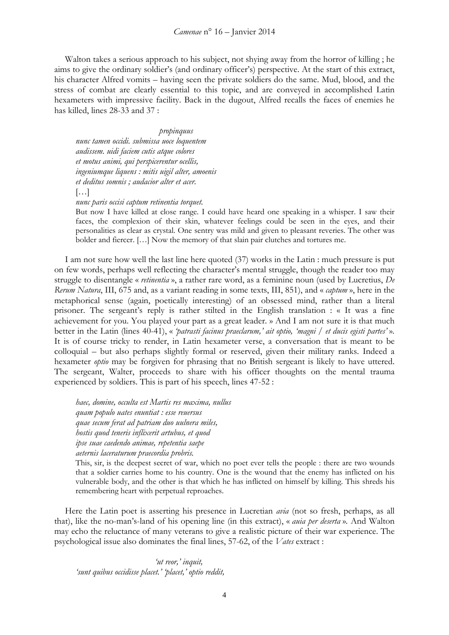Walton takes a serious approach to his subject, not shying away from the horror of killing ; he aims to give the ordinary soldier's (and ordinary officer's) perspective. At the start of this extract, his character Alfred vomits – having seen the private soldiers do the same. Mud, blood, and the stress of combat are clearly essential to this topic, and are conveyed in accomplished Latin hexameters with impressive facility. Back in the dugout, Alfred recalls the faces of enemies he has killed, lines 28-33 and 37 :

 *propinquus nunc tamen occidi. submissa uoce loquentem audissem. uidi faciem cutis atque colores et motus animi, qui perspicerentur ocellis, ingeniumque liquens : mitis uigil alter, amoenis et deditus somnis ; audacior alter et acer.* […] *nunc paris occisi captum retinentia torquet.*

But now I have killed at close range. I could have heard one speaking in a whisper. I saw their faces, the complexion of their skin, whatever feelings could be seen in the eyes, and their personalities as clear as crystal. One sentry was mild and given to pleasant reveries. The other was bolder and fiercer. […] Now the memory of that slain pair clutches and tortures me.

I am not sure how well the last line here quoted (37) works in the Latin : much pressure is put on few words, perhaps well reflecting the character's mental struggle, though the reader too may struggle to disentangle « *retinentia* », a rather rare word, as a feminine noun (used by Lucretius, *De Rerum Natura*, III, 675 and, as a variant reading in some texts, III, 851), and « *captum* », here in the metaphorical sense (again, poetically interesting) of an obsessed mind, rather than a literal prisoner. The sergeant's reply is rather stilted in the English translation : « It was a fine achievement for you. You played your part as a great leader. » And I am not sure it is that much better in the Latin (lines 40-41), « *'patrasti facinus praeclarum,' ait optio, 'magni / et ducis egisti partes'* ». It is of course tricky to render, in Latin hexameter verse, a conversation that is meant to be colloquial – but also perhaps slightly formal or reserved, given their military ranks. Indeed a hexameter *optio* may be forgiven for phrasing that no British sergeant is likely to have uttered. The sergeant, Walter, proceeds to share with his officer thoughts on the mental trauma experienced by soldiers. This is part of his speech, lines 47-52 :

*haec, domine, occulta est Martis res maxima, nullus quam populo uates enuntiat : esse reuersus quae secum ferat ad patriam duo uulnera miles, hostis quod teneris inflixerit artubus, et quod ipse suae caedendo animae, repetentia saepe aeternis laceraturum praecordia probris.* 

This, sir, is the deepest secret of war, which no poet ever tells the people : there are two wounds that a soldier carries home to his country. One is the wound that the enemy has inflicted on his vulnerable body, and the other is that which he has inflicted on himself by killing. This shreds his remembering heart with perpetual reproaches.

Here the Latin poet is asserting his presence in Lucretian *avia* (not so fresh, perhaps, as all that), like the no-man's-land of his opening line (in this extract), « *auia per deserta* »*.* And Walton may echo the reluctance of many veterans to give a realistic picture of their war experience. The psychological issue also dominates the final lines, 57-62, of the *Vates* extract :

 *'ut reor,' inquit, 'sunt quibus occidisse placet.' 'placet,' optio reddit,*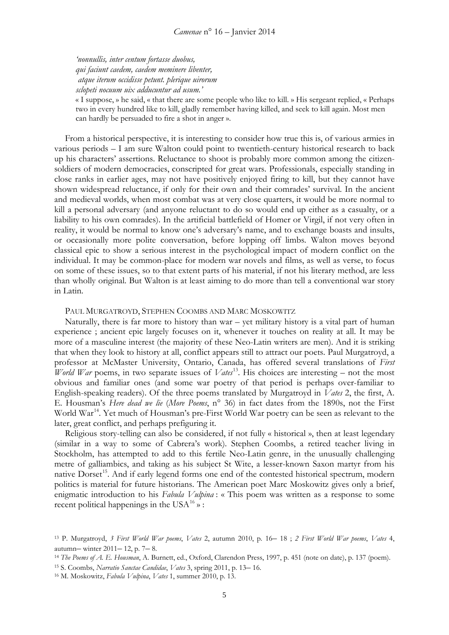*'nonnullis, inter centum fortasse duobus, qui faciunt caedem, caedem meminere libenter, atque iterum occidisse petunt. plerique uirorum sclopeti nocuum uix adducuntur ad usum.'* 

« I suppose, » he said, « that there are some people who like to kill. » His sergeant replied, « Perhaps two in every hundred like to kill, gladly remember having killed, and seek to kill again. Most men can hardly be persuaded to fire a shot in anger ».

From a historical perspective, it is interesting to consider how true this is, of various armies in various periods – I am sure Walton could point to twentieth-century historical research to back up his characters' assertions. Reluctance to shoot is probably more common among the citizensoldiers of modern democracies, conscripted for great wars. Professionals, especially standing in close ranks in earlier ages, may not have positively enjoyed firing to kill, but they cannot have shown widespread reluctance, if only for their own and their comrades' survival. In the ancient and medieval worlds, when most combat was at very close quarters, it would be more normal to kill a personal adversary (and anyone reluctant to do so would end up either as a casualty, or a liability to his own comrades). In the artificial battlefield of Homer or Virgil, if not very often in reality, it would be normal to know one's adversary's name, and to exchange boasts and insults, or occasionally more polite conversation, before lopping off limbs. Walton moves beyond classical epic to show a serious interest in the psychological impact of modern conflict on the individual. It may be common-place for modern war novels and films, as well as verse, to focus on some of these issues, so to that extent parts of his material, if not his literary method, are less than wholly original. But Walton is at least aiming to do more than tell a conventional war story in Latin.

## PAUL MURGATROYD, STEPHEN COOMBS AND MARC MOSKOWITZ

Naturally, there is far more to history than war – yet military history is a vital part of human experience ; ancient epic largely focuses on it, whenever it touches on reality at all. It may be more of a masculine interest (the majority of these Neo-Latin writers are men). And it is striking that when they look to history at all, conflict appears still to attract our poets. Paul Murgatroyd, a professor at McMaster University, Ontario, Canada, has offered several translations of *First World War* poems, in two separate issues of *Vates*<sup>13</sup>. His choices are interesting – not the most obvious and familiar ones (and some war poetry of that period is perhaps over-familiar to English-speaking readers). Of the three poems translated by Murgatroyd in *Vates* 2, the first, A. E. Housman's *Here dead we lie* (*More Poems*, n° 36) in fact dates from the 1890s, not the First World War<sup>[14](#page-4-1)</sup>. Yet much of Housman's pre-First World War poetry can be seen as relevant to the later, great conflict, and perhaps prefiguring it.

Religious story-telling can also be considered, if not fully « historical », then at least legendary (similar in a way to some of Cabrera's work). Stephen Coombs, a retired teacher living in Stockholm, has attempted to add to this fertile Neo-Latin genre, in the unusually challenging metre of galliambics, and taking as his subject St Wite, a lesser-known Saxon martyr from his native Dorset<sup>[15](#page-4-2)</sup>. And if early legend forms one end of the contested historical spectrum, modern politics is material for future historians. The American poet Marc Moskowitz gives only a brief, enigmatic introduction to his *Fabula Vulpina* : « This poem was written as a response to some recent political happenings in the USA<sup>[16](#page-4-3)</sup> $\gamma$ :

<span id="page-4-0"></span><sup>13</sup> P. Murgatroyd, *3 First World War poems*, *Vates* 2, autumn 2010, p. 16– 18 ; *2 First World War poems*, *Vates* 4, autumn– winter 2011– 12, p. 7– 8.

<span id="page-4-1"></span><sup>14</sup> *The Poems of A. E. Housman*, A. Burnett, ed., Oxford, Clarendon Press, 1997, p. 451 (note on date), p. 137 (poem).

<span id="page-4-2"></span><sup>15</sup> S. Coombs, *Narratio Sanctae Candidae*, *Vates* 3, spring 2011, p. 13– 16.

<span id="page-4-3"></span><sup>16</sup> M. Moskowitz, *Fabula Vulpina*, *Vates* 1, summer 2010, p. 13.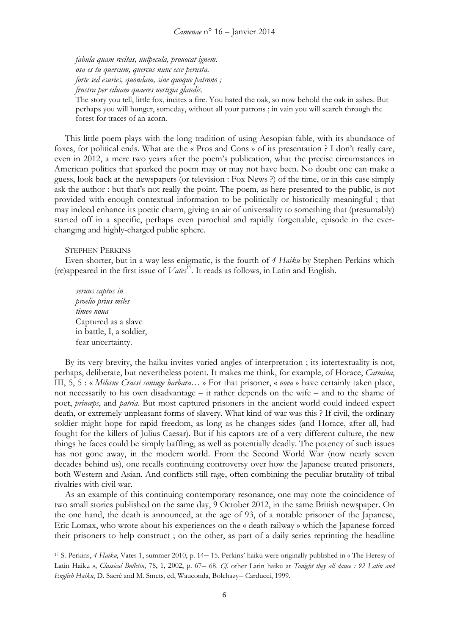*fabula quam recitas, uulpecula, prouocat ignem. osa es tu quercum, quercus nunc ecce perusta. forte sed esuries, quondam, sine quoque patrono ; frustra per siluam quaeres uestigia glandis*.

The story you tell, little fox, incites a fire. You hated the oak, so now behold the oak in ashes. But perhaps you will hunger, someday, without all your patrons ; in vain you will search through the forest for traces of an acorn.

This little poem plays with the long tradition of using Aesopian fable, with its abundance of foxes, for political ends. What are the « Pros and Cons » of its presentation ? I don't really care, even in 2012, a mere two years after the poem's publication, what the precise circumstances in American politics that sparked the poem may or may not have been. No doubt one can make a guess, look back at the newspapers (or television : Fox News ?) of the time, or in this case simply ask the author : but that's not really the point. The poem, as here presented to the public, is not provided with enough contextual information to be politically or historically meaningful ; that may indeed enhance its poetic charm, giving an air of universality to something that (presumably) started off in a specific, perhaps even parochial and rapidly forgettable, episode in the everchanging and highly-charged public sphere.

## STEPHEN PERKINS

Even shorter, but in a way less enigmatic, is the fourth of *4 Haiku* by Stephen Perkins which (re)appeared in the first issue of  $Vates^{17}$  $Vates^{17}$  $Vates^{17}$ . It reads as follows, in Latin and English.

*seruus captus in proelio prius miles timeo noua* Captured as a slave in battle, I, a soldier, fear uncertainty.

By its very brevity, the haiku invites varied angles of interpretation ; its intertextuality is not, perhaps, deliberate, but nevertheless potent. It makes me think, for example, of Horace, *Carmina*, III, 5, 5 : « *Milesne Crassi coniuge barbara*… » For that prisoner, « *nova* » have certainly taken place, not necessarily to his own disadvantage – it rather depends on the wife – and to the shame of poet, *princeps*, and *patria*. But most captured prisoners in the ancient world could indeed expect death, or extremely unpleasant forms of slavery. What kind of war was this ? If civil, the ordinary soldier might hope for rapid freedom, as long as he changes sides (and Horace, after all, had fought for the killers of Julius Caesar). But if his captors are of a very different culture, the new things he faces could be simply baffling, as well as potentially deadly. The potency of such issues has not gone away, in the modern world. From the Second World War (now nearly seven decades behind us), one recalls continuing controversy over how the Japanese treated prisoners, both Western and Asian. And conflicts still rage, often combining the peculiar brutality of tribal rivalries with civil war.

As an example of this continuing contemporary resonance, one may note the coincidence of two small stories published on the same day, 9 October 2012, in the same British newspaper. On the one hand, the death is announced, at the age of 93, of a notable prisoner of the Japanese, Eric Lomax, who wrote about his experiences on the « death railway » which the Japanese forced their prisoners to help construct ; on the other, as part of a daily series reprinting the headline

<span id="page-5-0"></span><sup>17</sup> S. Perkins, *4 Haiku*, Vates 1, summer 2010, p. 14– 15. Perkins' haiku were originally published in « The Heresy of Latin Haiku », *Classical Bulletin*, 78, 1, 2002, p. 67– 68. *Cf.* other Latin haiku at *Tonight they all dance : 92 Latin and English Haiku*, D. Sacré and M. Smets, ed, Wauconda, Bolchazy– Carducci, 1999.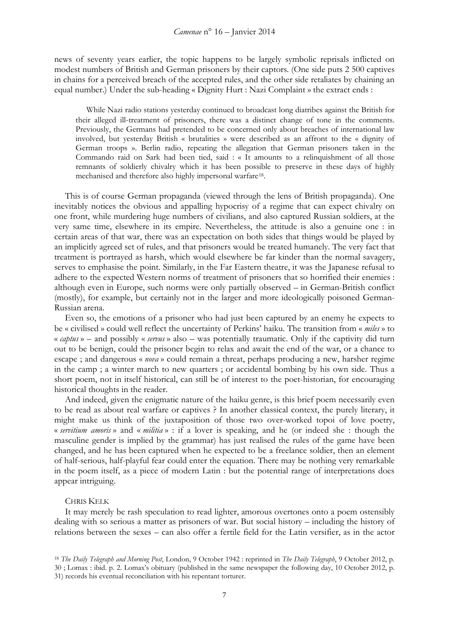news of seventy years earlier, the topic happens to be largely symbolic reprisals inflicted on modest numbers of British and German prisoners by their captors. (One side puts 2 500 captives in chains for a perceived breach of the accepted rules, and the other side retaliates by chaining an equal number.) Under the sub-heading « Dignity Hurt : Nazi Complaint » the extract ends :

While Nazi radio stations yesterday continued to broadcast long diatribes against the British for their alleged ill-treatment of prisoners, there was a distinct change of tone in the comments. Previously, the Germans had pretended to be concerned only about breaches of international law involved, but yesterday British « brutalities » were described as an affront to the « dignity of German troops ». Berlin radio, repeating the allegation that German prisoners taken in the Commando raid on Sark had been tied, said : « It amounts to a relinquishment of all those remnants of soldierly chivalry which it has been possible to preserve in these days of highly mechanised and therefore also highly impersonal warfare[18.](#page-6-0)

This is of course German propaganda (viewed through the lens of British propaganda). One inevitably notices the obvious and appalling hypocrisy of a regime that can expect chivalry on one front, while murdering huge numbers of civilians, and also captured Russian soldiers, at the very same time, elsewhere in its empire. Nevertheless, the attitude is also a genuine one : in certain areas of that war, there was an expectation on both sides that things would be played by an implicitly agreed set of rules, and that prisoners would be treated humanely. The very fact that treatment is portrayed as harsh, which would elsewhere be far kinder than the normal savagery, serves to emphasise the point. Similarly, in the Far Eastern theatre, it was the Japanese refusal to adhere to the expected Western norms of treatment of prisoners that so horrified their enemies : although even in Europe, such norms were only partially observed – in German-British conflict (mostly), for example, but certainly not in the larger and more ideologically poisoned German-Russian arena.

Even so, the emotions of a prisoner who had just been captured by an enemy he expects to be « civilised » could well reflect the uncertainty of Perkins' haiku. The transition from « *miles* » to « *captus* » – and possibly « *servus* » also – was potentially traumatic. Only if the captivity did turn out to be benign, could the prisoner begin to relax and await the end of the war, or a chance to escape ; and dangerous « *nova* » could remain a threat, perhaps producing a new, harsher regime in the camp ; a winter march to new quarters ; or accidental bombing by his own side. Thus a short poem, not in itself historical, can still be of interest to the poet-historian, for encouraging historical thoughts in the reader.

And indeed, given the enigmatic nature of the haiku genre, is this brief poem necessarily even to be read as about real warfare or captives ? In another classical context, the purely literary, it might make us think of the juxtaposition of those two over-worked topoi of love poetry, « *servitium amoris* » and « *militia* » : if a lover is speaking, and he (or indeed she : though the masculine gender is implied by the grammar) has just realised the rules of the game have been changed, and he has been captured when he expected to be a freelance soldier, then an element of half-serious, half-playful fear could enter the equation. There may be nothing very remarkable in the poem itself, as a piece of modern Latin : but the potential range of interpretations does appear intriguing.

## CHRIS KELK

It may merely be rash speculation to read lighter, amorous overtones onto a poem ostensibly dealing with so serious a matter as prisoners of war. But social history – including the history of relations between the sexes – can also offer a fertile field for the Latin versifier, as in the actor

<span id="page-6-0"></span><sup>18</sup> *The Daily Telegraph and Morning Post*, London, 9 October 1942 : reprinted in *The Daily Telegraph*, 9 October 2012, p. 30 ; Lomax : ibid. p. 2. Lomax's obituary (published in the same newspaper the following day, 10 October 2012, p. 31) records his eventual reconciliation with his repentant torturer.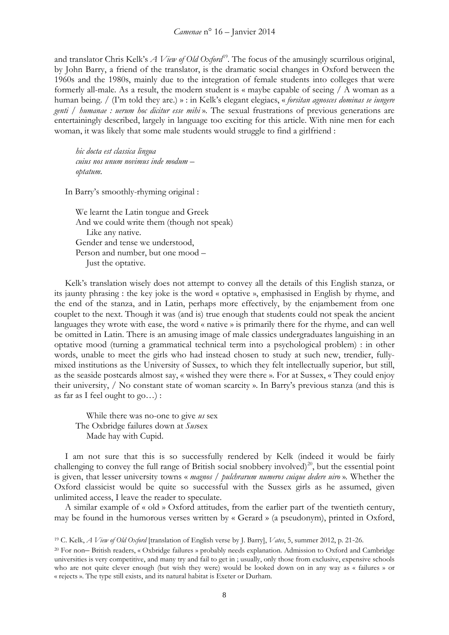and translator Chris Kelk's *A View of Old Oxford*<sup>[19](#page-7-0)</sup>. The focus of the amusingly scurrilous original, by John Barry, a friend of the translator, is the dramatic social changes in Oxford between the 1960s and the 1980s, mainly due to the integration of female students into colleges that were formerly all-male. As a result, the modern student is « maybe capable of seeing / A woman as a human being. / (I'm told they are.) » : in Kelk's elegant elegiacs, « *forsitan agnosces dominas se iungere genti* / *humanae : uerum hoc dicitur esse mihi* »*.* The sexual frustrations of previous generations are entertainingly described, largely in language too exciting for this article. With nine men for each woman, it was likely that some male students would struggle to find a girlfriend :

*hic docta est classica lingua cuius nos unum novimus inde modum – optatum.*

In Barry's smoothly-rhyming original :

We learnt the Latin tongue and Greek And we could write them (though not speak) Like any native. Gender and tense we understood, Person and number, but one mood – Just the optative.

Kelk's translation wisely does not attempt to convey all the details of this English stanza, or its jaunty phrasing : the key joke is the word « optative », emphasised in English by rhyme, and the end of the stanza, and in Latin, perhaps more effectively, by the enjambement from one couplet to the next. Though it was (and is) true enough that students could not speak the ancient languages they wrote with ease, the word « native » is primarily there for the rhyme, and can well be omitted in Latin. There is an amusing image of male classics undergraduates languishing in an optative mood (turning a grammatical technical term into a psychological problem) : in other words, unable to meet the girls who had instead chosen to study at such new, trendier, fullymixed institutions as the University of Sussex, to which they felt intellectually superior, but still, as the seaside postcards almost say, « wished they were there ». For at Sussex, « They could enjoy their university, / No constant state of woman scarcity ». In Barry's previous stanza (and this is as far as I feel ought to go…) :

While there was no-one to give *us* sex The Oxbridge failures down at *Sus*sex Made hay with Cupid.

I am not sure that this is so successfully rendered by Kelk (indeed it would be fairly challenging to convey the full range of British social snobbery involved)<sup>[20](#page-7-1)</sup>, but the essential point is given, that lesser university towns « *magnos / pulchrarum numeros cuique dedere uiro* »*.* Whether the Oxford classicist would be quite so successful with the Sussex girls as he assumed, given unlimited access, I leave the reader to speculate.

A similar example of « old » Oxford attitudes, from the earlier part of the twentieth century, may be found in the humorous verses written by « Gerard » (a pseudonym), printed in Oxford,

<span id="page-7-0"></span><sup>19</sup> C. Kelk, *A View of Old Oxford* [translation of English verse by J. Barry], *Vates*, 5, summer 2012, p. 21-26.

<span id="page-7-1"></span><sup>20</sup> For non– British readers, « Oxbridge failures » probably needs explanation. Admission to Oxford and Cambridge universities is very competitive, and many try and fail to get in ; usually, only those from exclusive, expensive schools who are not quite clever enough (but wish they were) would be looked down on in any way as « failures » or « rejects ». The type still exists, and its natural habitat is Exeter or Durham.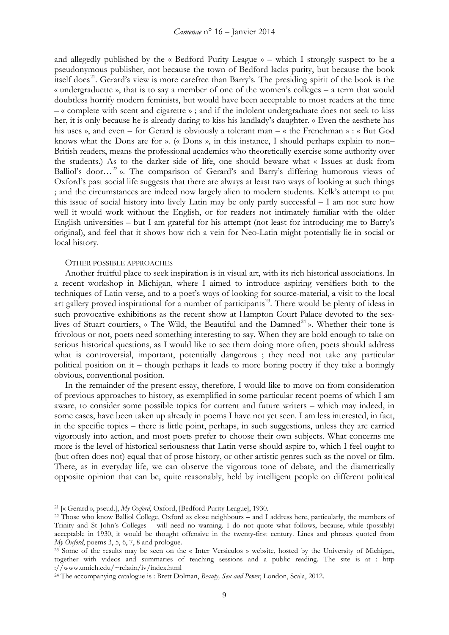and allegedly published by the « Bedford Purity League » – which I strongly suspect to be a pseudonymous publisher, not because the town of Bedford lacks purity, but because the book itself does<sup>[21](#page-8-0)</sup>. Gerard's view is more carefree than Barry's. The presiding spirit of the book is the « undergraduette », that is to say a member of one of the women's colleges – a term that would doubtless horrify modern feminists, but would have been acceptable to most readers at the time – « complete with scent and cigarette » ; and if the indolent undergraduate does not seek to kiss her, it is only because he is already daring to kiss his landlady's daughter. « Even the aesthete has his uses », and even – for Gerard is obviously a tolerant man – « the Frenchman » : « But God knows what the Dons are for ». (« Dons », in this instance, I should perhaps explain to non– British readers, means the professional academics who theoretically exercise some authority over the students.) As to the darker side of life, one should beware what « Issues at dusk from Balliol's door...<sup>[22](#page-8-1)</sup> ». The comparison of Gerard's and Barry's differing humorous views of Oxford's past social life suggests that there are always at least two ways of looking at such things ; and the circumstances are indeed now largely alien to modern students. Kelk's attempt to put this issue of social history into lively Latin may be only partly successful – I am not sure how well it would work without the English, or for readers not intimately familiar with the older English universities – but I am grateful for his attempt (not least for introducing me to Barry's original), and feel that it shows how rich a vein for Neo-Latin might potentially lie in social or local history.

## OTHER POSSIBLE APPROACHES

Another fruitful place to seek inspiration is in visual art, with its rich historical associations. In a recent workshop in Michigan, where I aimed to introduce aspiring versifiers both to the techniques of Latin verse, and to a poet's ways of looking for source-material, a visit to the local art gallery proved inspirational for a number of participants<sup>[23](#page-8-2)</sup>. There would be plenty of ideas in such provocative exhibitions as the recent show at Hampton Court Palace devoted to the sex-lives of Stuart courtiers, « The Wild, the Beautiful and the Damned<sup>[24](#page-8-3)</sup> ». Whether their tone is frivolous or not, poets need something interesting to say. When they are bold enough to take on serious historical questions, as I would like to see them doing more often, poets should address what is controversial, important, potentially dangerous ; they need not take any particular political position on it – though perhaps it leads to more boring poetry if they take a boringly obvious, conventional position.

In the remainder of the present essay, therefore, I would like to move on from consideration of previous approaches to history, as exemplified in some particular recent poems of which I am aware, to consider some possible topics for current and future writers – which may indeed, in some cases, have been taken up already in poems I have not yet seen. I am less interested, in fact, in the specific topics – there is little point, perhaps, in such suggestions, unless they are carried vigorously into action, and most poets prefer to choose their own subjects. What concerns me more is the level of historical seriousness that Latin verse should aspire to, which I feel ought to (but often does not) equal that of prose history, or other artistic genres such as the novel or film. There, as in everyday life, we can observe the vigorous tone of debate, and the diametrically opposite opinion that can be, quite reasonably, held by intelligent people on different political

<span id="page-8-0"></span><sup>21</sup> [« Gerard », pseud.], *My Oxford*, Oxford, [Bedford Purity League], 1930.

<span id="page-8-1"></span><sup>22</sup> Those who know Balliol College, Oxford as close neighbours – and I address here, particularly, the members of Trinity and St John's Colleges – will need no warning. I do not quote what follows, because, while (possibly) acceptable in 1930, it would be thought offensive in the twenty-first century. Lines and phrases quoted from *My Oxford*, poems 3, 5, 6, 7, 8 and prologue.

<span id="page-8-2"></span><sup>&</sup>lt;sup>23</sup> Some of the results may be seen on the « Inter Versiculos » website, hosted by the University of Michigan, together with videos and summaries of teaching sessions and a public reading. The site is at : http ://www.umich.edu/~rclatin/iv/index.html

<span id="page-8-3"></span><sup>24</sup> The accompanying catalogue is : Brett Dolman, *Beauty, Sex and Power*, London, Scala, 2012.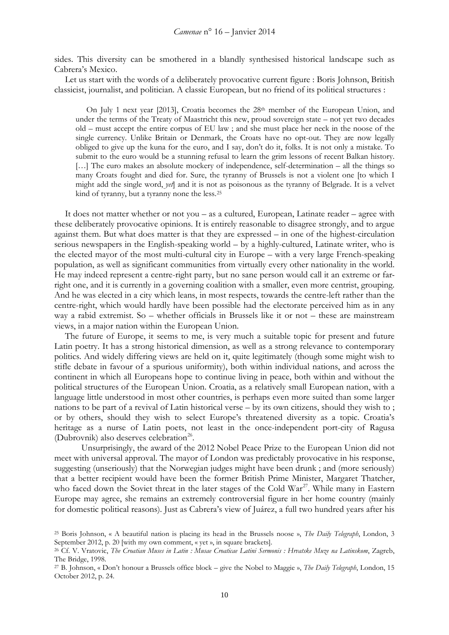sides. This diversity can be smothered in a blandly synthesised historical landscape such as Cabrera's Mexico.

Let us start with the words of a deliberately provocative current figure : Boris Johnson, British classicist, journalist, and politician. A classic European, but no friend of its political structures :

On July 1 next year [2013], Croatia becomes the 28th member of the European Union, and under the terms of the Treaty of Maastricht this new, proud sovereign state – not yet two decades old – must accept the entire corpus of EU law ; and she must place her neck in the noose of the single currency. Unlike Britain or Denmark, the Croats have no opt-out. They are now legally obliged to give up the kuna for the euro, and I say, don't do it, folks. It is not only a mistake. To submit to the euro would be a stunning refusal to learn the grim lessons of recent Balkan history. [...] The euro makes an absolute mockery of independence, self-determination – all the things so many Croats fought and died for. Sure, the tyranny of Brussels is not a violent one [to which I might add the single word, *yet*] and it is not as poisonous as the tyranny of Belgrade. It is a velvet kind of tyranny, but a tyranny none the less.[25](#page-9-0)

It does not matter whether or not you – as a cultured, European, Latinate reader – agree with these deliberately provocative opinions. It is entirely reasonable to disagree strongly, and to argue against them. But what does matter is that they are expressed – in one of the highest-circulation serious newspapers in the English-speaking world – by a highly-cultured, Latinate writer, who is the elected mayor of the most multi-cultural city in Europe – with a very large French-speaking population, as well as significant communities from virtually every other nationality in the world. He may indeed represent a centre-right party, but no sane person would call it an extreme or farright one, and it is currently in a governing coalition with a smaller, even more centrist, grouping. And he was elected in a city which leans, in most respects, towards the centre-left rather than the centre-right, which would hardly have been possible had the electorate perceived him as in any way a rabid extremist. So – whether officials in Brussels like it or not – these are mainstream views, in a major nation within the European Union.

The future of Europe, it seems to me, is very much a suitable topic for present and future Latin poetry. It has a strong historical dimension, as well as a strong relevance to contemporary politics. And widely differing views are held on it, quite legitimately (though some might wish to stifle debate in favour of a spurious uniformity), both within individual nations, and across the continent in which all Europeans hope to continue living in peace, both within and without the political structures of the European Union. Croatia, as a relatively small European nation, with a language little understood in most other countries, is perhaps even more suited than some larger nations to be part of a revival of Latin historical verse – by its own citizens, should they wish to ; or by others, should they wish to select Europe's threatened diversity as a topic. Croatia's heritage as a nurse of Latin poets, not least in the once-independent port-city of Ragusa (Dubrovnik) also deserves celebration<sup>[26](#page-9-1)</sup>.

Unsurprisingly, the award of the 2012 Nobel Peace Prize to the European Union did not meet with universal approval. The mayor of London was predictably provocative in his response, suggesting (unseriously) that the Norwegian judges might have been drunk ; and (more seriously) that a better recipient would have been the former British Prime Minister, Margaret Thatcher, who faced down the Soviet threat in the later stages of the Cold War<sup>[27](#page-9-2)</sup>. While many in Eastern Europe may agree, she remains an extremely controversial figure in her home country (mainly for domestic political reasons). Just as Cabrera's view of Juárez, a full two hundred years after his

<span id="page-9-0"></span><sup>25</sup> Boris Johnson, « A beautiful nation is placing its head in the Brussels noose », *The Daily Telegraph*, London, 3 September 2012, p. 20 [with my own comment, « yet », in square brackets].

<span id="page-9-1"></span><sup>26</sup> Cf. V. Vratovic, *The Croatian Muses in Latin : Musae Croaticae Latini Sermonis : Hrvatske Muze na Latinskom*, Zagreb, The Bridge, 1998.

<span id="page-9-2"></span><sup>27</sup> B. Johnson, « Don't honour a Brussels office block – give the Nobel to Maggie », *The Daily Telegraph*, London, 15 October 2012, p. 24.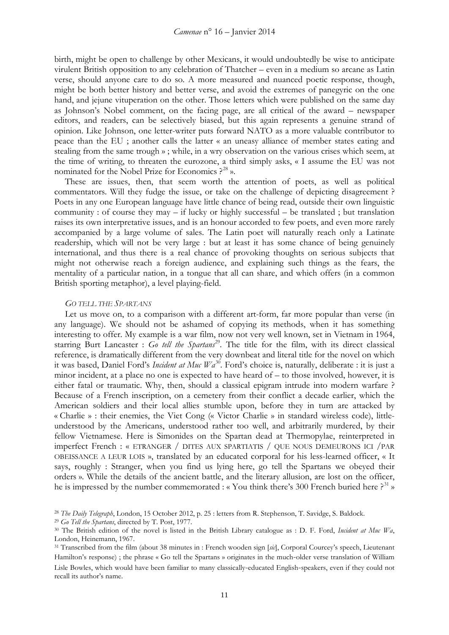birth, might be open to challenge by other Mexicans, it would undoubtedly be wise to anticipate virulent British opposition to any celebration of Thatcher – even in a medium so arcane as Latin verse, should anyone care to do so. A more measured and nuanced poetic response, though, might be both better history and better verse, and avoid the extremes of panegyric on the one hand, and jejune vituperation on the other. Those letters which were published on the same day as Johnson's Nobel comment, on the facing page, are all critical of the award – newspaper editors, and readers, can be selectively biased, but this again represents a genuine strand of opinion. Like Johnson, one letter-writer puts forward NATO as a more valuable contributor to peace than the EU ; another calls the latter « an uneasy alliance of member states eating and stealing from the same trough » ; while, in a wry observation on the various crises which seem, at the time of writing, to threaten the eurozone, a third simply asks, « I assume the EU was not nominated for the Nobel Prize for Economics  $P^{28}$  $P^{28}$  $P^{28}$ ».

These are issues, then, that seem worth the attention of poets, as well as political commentators. Will they fudge the issue, or take on the challenge of depicting disagreement ? Poets in any one European language have little chance of being read, outside their own linguistic community : of course they may – if lucky or highly successful – be translated ; but translation raises its own interpretative issues, and is an honour accorded to few poets, and even more rarely accompanied by a large volume of sales. The Latin poet will naturally reach only a Latinate readership, which will not be very large : but at least it has some chance of being genuinely international, and thus there is a real chance of provoking thoughts on serious subjects that might not otherwise reach a foreign audience, and explaining such things as the fears, the mentality of a particular nation, in a tongue that all can share, and which offers (in a common British sporting metaphor), a level playing-field.

# *GO TELL THE SPARTANS*

Let us move on, to a comparison with a different art-form, far more popular than verse (in any language). We should not be ashamed of copying its methods, when it has something interesting to offer. My example is a war film, now not very well known, set in Vietnam in 1964, starring Burt Lancaster : *Go tell the Spartans*<sup>[29](#page-10-1)</sup>. The title for the film, with its direct classical reference, is dramatically different from the very downbeat and literal title for the novel on which it was based, Daniel Ford's *Incident at Muc Wa*[30](#page-10-2)*.* Ford's choice is, naturally, deliberate : it is just a minor incident, at a place no one is expected to have heard of – to those involved, however, it is either fatal or traumatic. Why, then, should a classical epigram intrude into modern warfare ? Because of a French inscription, on a cemetery from their conflict a decade earlier, which the American soldiers and their local allies stumble upon, before they in turn are attacked by « Charlie » : their enemies, the Viet Cong (« Victor Charlie » in standard wireless code), littleunderstood by the Americans, understood rather too well, and arbitrarily murdered, by their fellow Vietnamese. Here is Simonides on the Spartan dead at Thermopylae, reinterpreted in imperfect French : « ETRANGER / DITES AUX SPARTIATIS / QUE NOUS DEMEURONS ICI /PAR OBEISSANCE A LEUR LOIS », translated by an educated corporal for his less-learned officer, « It says, roughly : Stranger, when you find us lying here, go tell the Spartans we obeyed their orders ». While the details of the ancient battle, and the literary allusion, are lost on the officer, he is impressed by the number commemorated : « You think there's 300 French buried here ?<sup>[31](#page-10-3)</sup> »

<span id="page-10-0"></span><sup>28</sup> *The Daily Telegraph*, London, 15 October 2012, p. 25 : letters from R. Stephenson, T. Savidge, S. Baldock.

<span id="page-10-1"></span><sup>29</sup> *Go Tell the Spartans*, directed by T. Post, 1977.

<span id="page-10-2"></span><sup>30</sup> The British edition of the novel is listed in the British Library catalogue as : D. F. Ford, *Incident at Muc Wa*, London, Heinemann, 1967.

<span id="page-10-3"></span><sup>31</sup> Transcribed from the film (about 38 minutes in : French wooden sign [*sic*], Corporal Courcey's speech, Lieutenant Hamilton's response) ; the phrase « Go tell the Spartans » originates in the much-older verse translation of William Lisle Bowles, which would have been familiar to many classically-educated English-speakers, even if they could not recall its author's name.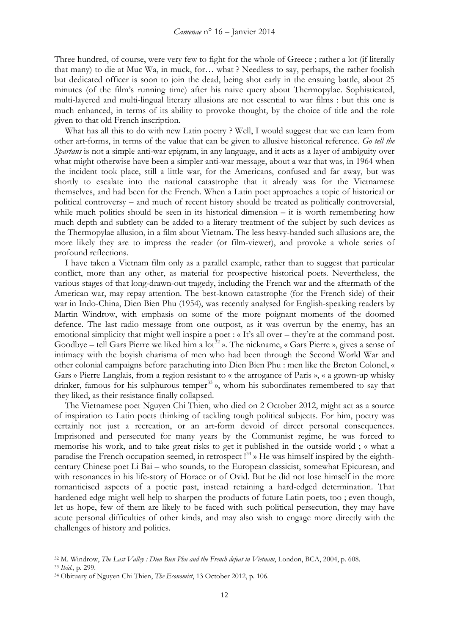Three hundred, of course, were very few to fight for the whole of Greece ; rather a lot (if literally that many) to die at Muc Wa, in muck, for… what ? Needless to say, perhaps, the rather foolish but dedicated officer is soon to join the dead, being shot early in the ensuing battle, about 25 minutes (of the film's running time) after his naive query about Thermopylae. Sophisticated, multi-layered and multi-lingual literary allusions are not essential to war films : but this one is much enhanced, in terms of its ability to provoke thought, by the choice of title and the role given to that old French inscription.

What has all this to do with new Latin poetry ? Well, I would suggest that we can learn from other art-forms, in terms of the value that can be given to allusive historical reference. *Go tell the Spartans* is not a simple anti-war epigram, in any language, and it acts as a layer of ambiguity over what might otherwise have been a simpler anti-war message, about a war that was, in 1964 when the incident took place, still a little war, for the Americans, confused and far away, but was shortly to escalate into the national catastrophe that it already was for the Vietnamese themselves, and had been for the French. When a Latin poet approaches a topic of historical or political controversy – and much of recent history should be treated as politically controversial, while much politics should be seen in its historical dimension – it is worth remembering how much depth and subtlety can be added to a literary treatment of the subject by such devices as the Thermopylae allusion, in a film about Vietnam. The less heavy-handed such allusions are, the more likely they are to impress the reader (or film-viewer), and provoke a whole series of profound reflections.

I have taken a Vietnam film only as a parallel example, rather than to suggest that particular conflict, more than any other, as material for prospective historical poets. Nevertheless, the various stages of that long-drawn-out tragedy, including the French war and the aftermath of the American war, may repay attention. The best-known catastrophe (for the French side) of their war in Indo-China, Dien Bien Phu (1954), was recently analysed for English-speaking readers by Martin Windrow, with emphasis on some of the more poignant moments of the doomed defence. The last radio message from one outpost, as it was overrun by the enemy, has an emotional simplicity that might well inspire a poet : «It's all over – they're at the command post. Goodbye – tell Gars Pierre we liked him a  $\text{lot}^{32}$  $\text{lot}^{32}$  $\text{lot}^{32}$ ». The nickname, « Gars Pierre », gives a sense of intimacy with the boyish charisma of men who had been through the Second World War and other colonial campaigns before parachuting into Dien Bien Phu : men like the Breton Colonel, « Gars » Pierre Langlais, from a region resistant to « the arrogance of Paris », « a grown-up whisky drinker, famous for his sulphurous temper<sup>[33](#page-11-1)</sup>», whom his subordinates remembered to say that they liked, as their resistance finally collapsed.

The Vietnamese poet Nguyen Chi Thien, who died on 2 October 2012, might act as a source of inspiration to Latin poets thinking of tackling tough political subjects. For him, poetry was certainly not just a recreation, or an art-form devoid of direct personal consequences. Imprisoned and persecuted for many years by the Communist regime, he was forced to memorise his work, and to take great risks to get it published in the outside world ; « what a paradise the French occupation seemed, in retrospect !<sup>[34](#page-11-2)</sup> » He was himself inspired by the eighthcentury Chinese poet Li Bai – who sounds, to the European classicist, somewhat Epicurean, and with resonances in his life-story of Horace or of Ovid. But he did not lose himself in the more romanticised aspects of a poetic past, instead retaining a hard-edged determination. That hardened edge might well help to sharpen the products of future Latin poets, too ; even though, let us hope, few of them are likely to be faced with such political persecution, they may have acute personal difficulties of other kinds, and may also wish to engage more directly with the challenges of history and politics.

<span id="page-11-0"></span><sup>32</sup> M. Windrow, *The Last Valley : Dien Bien Phu and the French defeat in Vietnam*, London, BCA, 2004, p. 608.

<span id="page-11-1"></span><sup>33</sup> *Ibid*., p. 299.

<span id="page-11-2"></span><sup>34</sup> Obituary of Nguyen Chi Thien, *The Economist*, 13 October 2012, p. 106.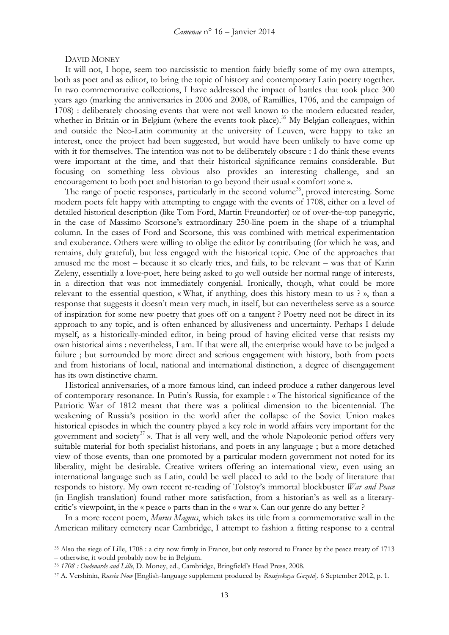#### DAVID MONEY

It will not, I hope, seem too narcissistic to mention fairly briefly some of my own attempts, both as poet and as editor, to bring the topic of history and contemporary Latin poetry together. In two commemorative collections, I have addressed the impact of battles that took place 300 years ago (marking the anniversaries in 2006 and 2008, of Ramillies, 1706, and the campaign of 1708) : deliberately choosing events that were not well known to the modern educated reader, whether in Britain or in Belgium (where the events took place).<sup>[35](#page-12-0)</sup> My Belgian colleagues, within and outside the Neo-Latin community at the university of Leuven, were happy to take an interest, once the project had been suggested, but would have been unlikely to have come up with it for themselves. The intention was not to be deliberately obscure : I do think these events were important at the time, and that their historical significance remains considerable. But focusing on something less obvious also provides an interesting challenge, and an encouragement to both poet and historian to go beyond their usual « comfort zone ».

The range of poetic responses, particularly in the second volume<sup>[36](#page-12-1)</sup>, proved interesting. Some modern poets felt happy with attempting to engage with the events of 1708, either on a level of detailed historical description (like Tom Ford, Martin Freundorfer) or of over-the-top panegyric, in the case of Massimo Scorsone's extraordinary 250-line poem in the shape of a triumphal column. In the cases of Ford and Scorsone, this was combined with metrical experimentation and exuberance. Others were willing to oblige the editor by contributing (for which he was, and remains, duly grateful), but less engaged with the historical topic. One of the approaches that amused me the most – because it so clearly tries, and fails, to be relevant – was that of Karin Zeleny, essentially a love-poet, here being asked to go well outside her normal range of interests, in a direction that was not immediately congenial. Ironically, though, what could be more relevant to the essential question, « What, if anything, does this history mean to us ? », than a response that suggests it doesn't mean very much, in itself, but can nevertheless serve as a source of inspiration for some new poetry that goes off on a tangent ? Poetry need not be direct in its approach to any topic, and is often enhanced by allusiveness and uncertainty. Perhaps I delude myself, as a historically-minded editor, in being proud of having elicited verse that resists my own historical aims : nevertheless, I am. If that were all, the enterprise would have to be judged a failure; but surrounded by more direct and serious engagement with history, both from poets and from historians of local, national and international distinction, a degree of disengagement has its own distinctive charm.

Historical anniversaries, of a more famous kind, can indeed produce a rather dangerous level of contemporary resonance. In Putin's Russia, for example : « The historical significance of the Patriotic War of 1812 meant that there was a political dimension to the bicentennial. The weakening of Russia's position in the world after the collapse of the Soviet Union makes historical episodes in which the country played a key role in world affairs very important for the government and society<sup>[37](#page-12-2)</sup> ». That is all very well, and the whole Napoleonic period offers very suitable material for both specialist historians, and poets in any language ; but a more detached view of those events, than one promoted by a particular modern government not noted for its liberality, might be desirable. Creative writers offering an international view, even using an international language such as Latin, could be well placed to add to the body of literature that responds to history. My own recent re-reading of Tolstoy's immortal blockbuster *War and Peace* (in English translation) found rather more satisfaction, from a historian's as well as a literarycritic's viewpoint, in the « peace » parts than in the « war ». Can our genre do any better ?

In a more recent poem, *Murus Magnus*, which takes its title from a commemorative wall in the American military cemetery near Cambridge, I attempt to fashion a fitting response to a central

<span id="page-12-0"></span><sup>35</sup> Also the siege of Lille, 1708 : a city now firmly in France, but only restored to France by the peace treaty of 1713 – otherwise, it would probably now be in Belgium.

<span id="page-12-1"></span><sup>36</sup> *1708 : Oudenarde and Lille*, D. Money, ed., Cambridge, Bringfield's Head Press, 2008.

<span id="page-12-2"></span><sup>37</sup> A. Vershinin, *Russia Now* [English-language supplement produced by *Rossiyskaya Gazeta*], 6 September 2012, p. 1.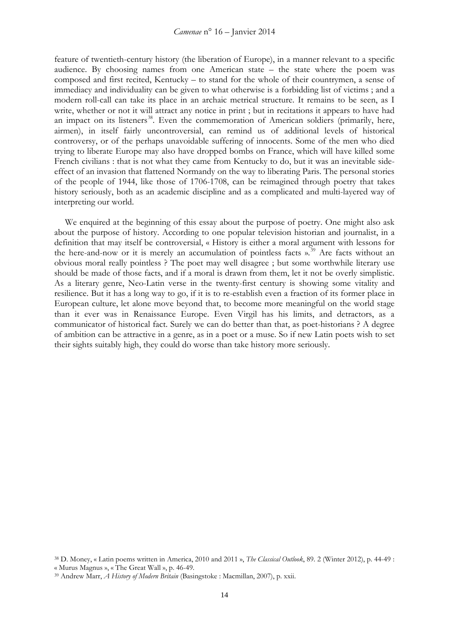feature of twentieth-century history (the liberation of Europe), in a manner relevant to a specific audience. By choosing names from one American state – the state where the poem was composed and first recited, Kentucky – to stand for the whole of their countrymen, a sense of immediacy and individuality can be given to what otherwise is a forbidding list of victims ; and a modern roll-call can take its place in an archaic metrical structure. It remains to be seen, as I write, whether or not it will attract any notice in print ; but in recitations it appears to have had an impact on its listeners<sup>38</sup>. Even the commemoration of American soldiers (primarily, here, airmen), in itself fairly uncontroversial, can remind us of additional levels of historical controversy, or of the perhaps unavoidable suffering of innocents. Some of the men who died trying to liberate Europe may also have dropped bombs on France, which will have killed some French civilians : that is not what they came from Kentucky to do, but it was an inevitable sideeffect of an invasion that flattened Normandy on the way to liberating Paris. The personal stories of the people of 1944, like those of 1706-1708, can be reimagined through poetry that takes history seriously, both as an academic discipline and as a complicated and multi-layered way of interpreting our world.

We enquired at the beginning of this essay about the purpose of poetry. One might also ask about the purpose of history. According to one popular television historian and journalist, in a definition that may itself be controversial, « History is either a moral argument with lessons for the here-and-now or it is merely an accumulation of pointless facts ».<sup>[39](#page-13-1)</sup> Are facts without an obvious moral really pointless ? The poet may well disagree ; but some worthwhile literary use should be made of those facts, and if a moral is drawn from them, let it not be overly simplistic. As a literary genre, Neo-Latin verse in the twenty-first century is showing some vitality and resilience. But it has a long way to go, if it is to re-establish even a fraction of its former place in European culture, let alone move beyond that, to become more meaningful on the world stage than it ever was in Renaissance Europe. Even Virgil has his limits, and detractors, as a communicator of historical fact. Surely we can do better than that, as poet-historians ? A degree of ambition can be attractive in a genre, as in a poet or a muse. So if new Latin poets wish to set their sights suitably high, they could do worse than take history more seriously.

<span id="page-13-0"></span><sup>38</sup> D. Money, « Latin poems written in America, 2010 and 2011 », *The Classical Outlook*, 89. 2 (Winter 2012), p. 44-49 : « Murus Magnus », « The Great Wall », p. 46-49.

<span id="page-13-1"></span><sup>39</sup> Andrew Marr, *A History of Modern Britain* (Basingstoke : Macmillan, 2007), p. xxii.